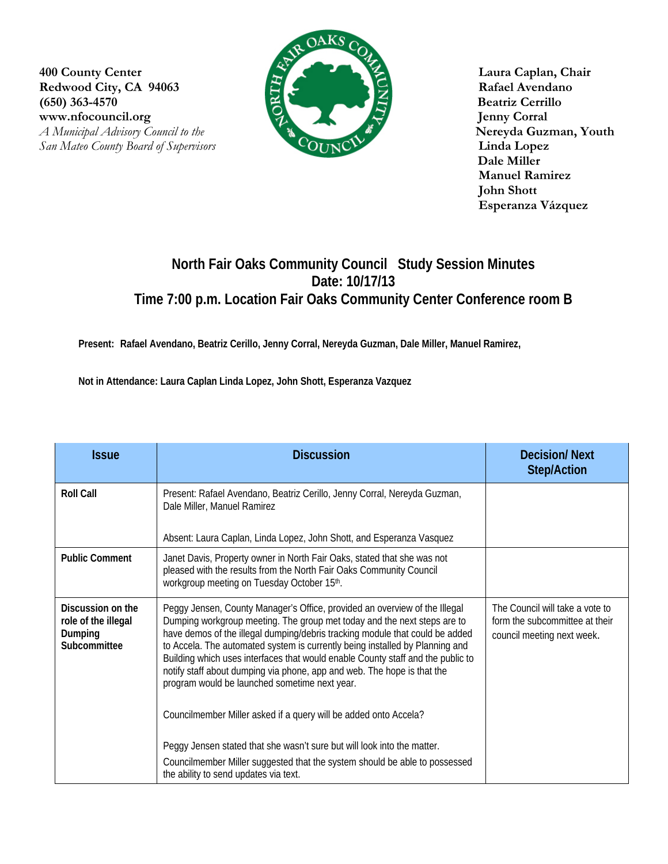**400 County Center Laura Caplan, Chair** Redwood City, CA 94063 **Rafael Avendano (650) 363-4570 Beatriz Cerrillo**  www.nfocouncil.org Jenny Corral *A Municipal Advisory Council to the Nereyda Guzman, Youth* 



 **Dale Miller Manuel Ramirez John Shott Esperanza Vázquez**

## **North Fair Oaks Community Council Study Session Minutes Date: 10/17/13 Time 7:00 p.m. Location Fair Oaks Community Center Conference room B**

**Present: Rafael Avendano, Beatriz Cerillo, Jenny Corral, Nereyda Guzman, Dale Miller, Manuel Ramirez,** 

**Not in Attendance: Laura Caplan Linda Lopez, John Shott, Esperanza Vazquez** 

| <b>Issue</b>                                                        | <b>Discussion</b>                                                                                                                                                                                                                                                                                                                                                                                                                                                                                                                     | <b>Decision/Next</b><br><b>Step/Action</b>                                                      |
|---------------------------------------------------------------------|---------------------------------------------------------------------------------------------------------------------------------------------------------------------------------------------------------------------------------------------------------------------------------------------------------------------------------------------------------------------------------------------------------------------------------------------------------------------------------------------------------------------------------------|-------------------------------------------------------------------------------------------------|
| <b>Roll Call</b>                                                    | Present: Rafael Avendano, Beatriz Cerillo, Jenny Corral, Nereyda Guzman,<br>Dale Miller, Manuel Ramirez                                                                                                                                                                                                                                                                                                                                                                                                                               |                                                                                                 |
|                                                                     | Absent: Laura Caplan, Linda Lopez, John Shott, and Esperanza Vasquez                                                                                                                                                                                                                                                                                                                                                                                                                                                                  |                                                                                                 |
| <b>Public Comment</b>                                               | Janet Davis, Property owner in North Fair Oaks, stated that she was not<br>pleased with the results from the North Fair Oaks Community Council<br>workgroup meeting on Tuesday October 15th.                                                                                                                                                                                                                                                                                                                                          |                                                                                                 |
| Discussion on the<br>role of the illegal<br>Dumping<br>Subcommittee | Peggy Jensen, County Manager's Office, provided an overview of the Illegal<br>Dumping workgroup meeting. The group met today and the next steps are to<br>have demos of the illegal dumping/debris tracking module that could be added<br>to Accela. The automated system is currently being installed by Planning and<br>Building which uses interfaces that would enable County staff and the public to<br>notify staff about dumping via phone, app and web. The hope is that the<br>program would be launched sometime next year. | The Council will take a vote to<br>form the subcommittee at their<br>council meeting next week. |
|                                                                     | Councilmember Miller asked if a query will be added onto Accela?<br>Peggy Jensen stated that she wasn't sure but will look into the matter.                                                                                                                                                                                                                                                                                                                                                                                           |                                                                                                 |
|                                                                     | Councilmember Miller suggested that the system should be able to possessed<br>the ability to send updates via text.                                                                                                                                                                                                                                                                                                                                                                                                                   |                                                                                                 |